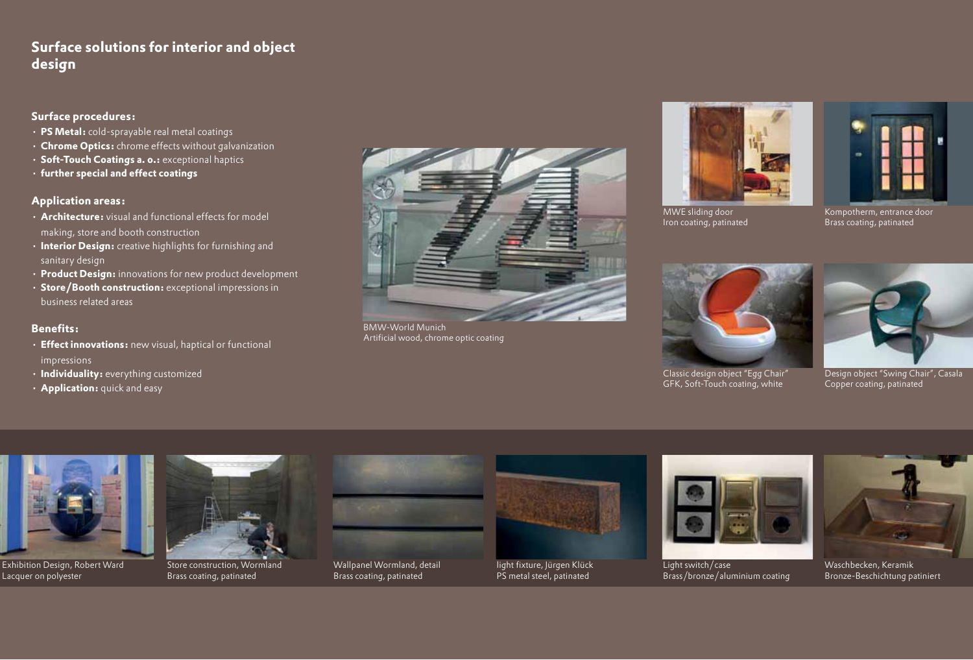# **Surface solutions for interior and object design**

### **Surface procedures:**

- • **PS Metal:** cold-sprayable real metal coatings
- • **Chrome Optics:** chrome effects without galvanization
- • **Soft-Touch Coatings a. o.:** exceptional haptics
- • **further special and effect coatings**

#### **Application areas:**

- • **Architecture:** visual and functional effects for model making, store and booth construction
- • **Interior Design:** creative highlights for furnishing and sanitary design
- • **Product Design:** innovations for new product development
- • **Store/Booth construction:** exceptional impressions in business related areas

#### **Benefits:**

- • **Effect innovations:** new visual, haptical or functional impressions
- • **Individuality:** everything customized
- • **Application:** quick and easy



BMW-World Munich Artificial wood, chrome optic coating







Kompotherm, entrance door Brass coating, patinated



Classic design object "Egg Chair" GFK, Soft-Touch coating, white



Design object "Swing Chair", Casala Copper coating, patinated



Exhibition Design, Robert Ward Lacquer on polyester



Store construction, Wormland Brass coating, patinated



Wallpanel Wormland, detail Brass coating, patinated



light fixture, Jürgen Klück PS metal steel, patinated



Light switch/case Brass/bronze/aluminium coating



Waschbecken, Keramik Bronze-Beschichtung patiniert